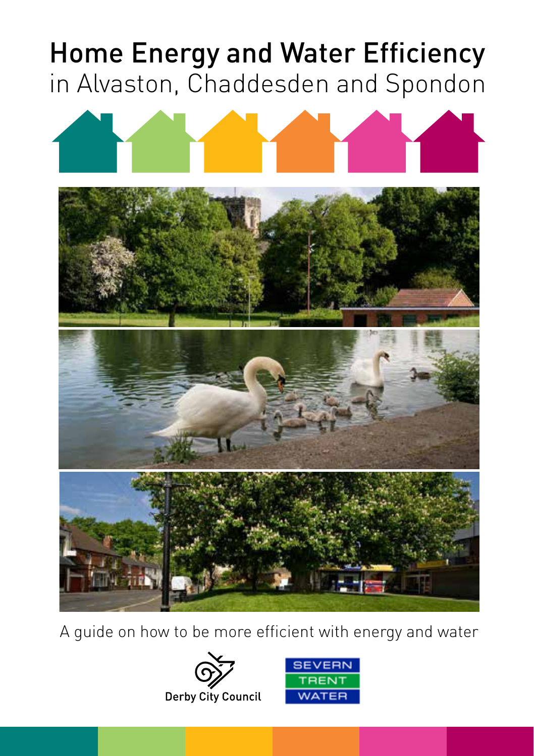# Home Energy and Water Efficiency in Alvaston, Chaddesden and Spondon









A guide on how to be more efficient with energy and water



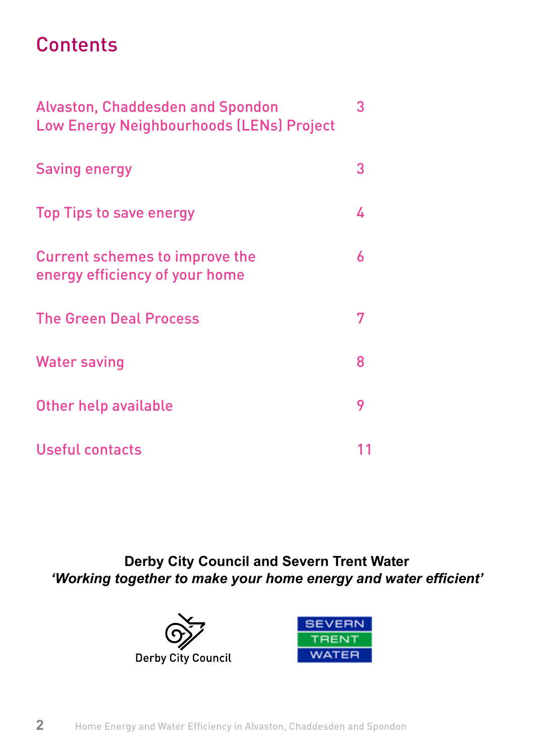### **Contents**

| <b>Alvaston, Chaddesden and Spondon</b><br><b>Low Energy Neighbourhoods (LENs) Project</b> | 3 |
|--------------------------------------------------------------------------------------------|---|
| <b>Saving energy</b>                                                                       | 3 |
| <b>Top Tips to save energy</b>                                                             | 4 |
| Current schemes to improve the<br>energy efficiency of your home                           | 6 |
| <b>The Green Deal Process</b>                                                              | 7 |
| <b>Water saving</b>                                                                        | 8 |
| Other help available                                                                       | 9 |
| <b>Useful contacts</b>                                                                     |   |

**Derby City Council and Severn Trent Water** *'Working together to make your home energy and water efficient'* 



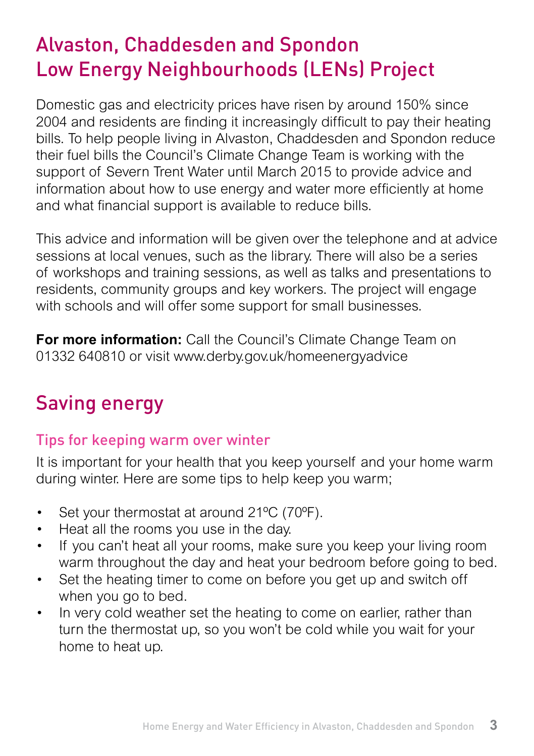# Alvaston, Chaddesden and Spondon Low Energy Neighbourhoods (LENs) Project

Domestic gas and electricity prices have risen by around 150% since 2004 and residents are finding it increasingly difficult to pay their heating bills. To help people living in Alvaston, Chaddesden and Spondon reduce their fuel bills the Council's Climate Change Team is working with the support of Severn Trent Water until March 2015 to provide advice and information about how to use energy and water more efficiently at home and what financial support is available to reduce bills.

This advice and information will be given over the telephone and at advice sessions at local venues, such as the library. There will also be a series of workshops and training sessions, as well as talks and presentations to residents, community groups and key workers. The project will engage with schools and will offer some support for small businesses.

**For more information:** Call the Council's Climate Change Team on 01332 640810 or visit www.derby.gov.uk/homeenergyadvice

### Saving energy

#### Tips for keeping warm over winter

It is important for your health that you keep yourself and your home warm during winter. Here are some tips to help keep you warm;

- Set your thermostat at around 21°C (70°F).
- Heat all the rooms you use in the day.
- If you can't heat all your rooms, make sure you keep your living room warm throughout the day and heat your bedroom before going to bed.
- Set the heating timer to come on before you get up and switch off when you go to bed.
- In very cold weather set the heating to come on earlier, rather than turn the thermostat up, so you won't be cold while you wait for your home to heat up.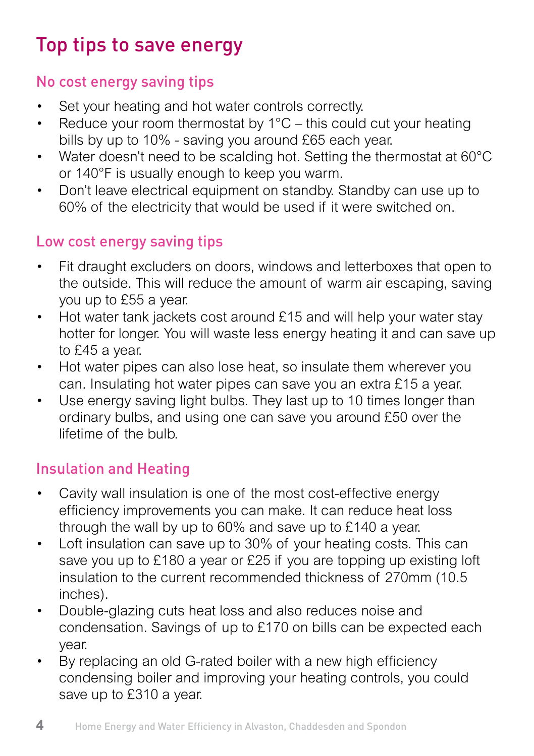# Top tips to save energy

#### No cost energy saving tips

- Set your heating and hot water controls correctly.
- Reduce your room thermostat by 1°C this could cut your heating bills by up to 10% - saving you around £65 each year.
- Water doesn't need to be scalding hot. Setting the thermostat at 60°C or 140°F is usually enough to keep you warm.
- Don't leave electrical equipment on standby. Standby can use up to 60% of the electricity that would be used if it were switched on.

#### Low cost energy saving tips

- Fit draught excluders on doors, windows and letterboxes that open to the outside. This will reduce the amount of warm air escaping, saving you up to £55 a year.
- Hot water tank jackets cost around £15 and will help your water stay hotter for longer. You will waste less energy heating it and can save up to £45 a year.
- Hot water pipes can also lose heat, so insulate them wherever you can. Insulating hot water pipes can save you an extra £15 a year.
- Use energy saving light bulbs. They last up to 10 times longer than ordinary bulbs, and using one can save you around £50 over the lifetime of the bulb.

#### Insulation and Heating

- Cavity wall insulation is one of the most cost-effective energy efficiency improvements you can make. It can reduce heat loss through the wall by up to 60% and save up to £140 a year.
- Loft insulation can save up to 30% of your heating costs. This can save you up to £180 a year or £25 if you are topping up existing loft insulation to the current recommended thickness of 270mm (10.5 inches).
- Double-glazing cuts heat loss and also reduces noise and condensation. Savings of up to £170 on bills can be expected each year.
- By replacing an old G-rated boiler with a new high efficiency condensing boiler and improving your heating controls, you could save up to £310 a year.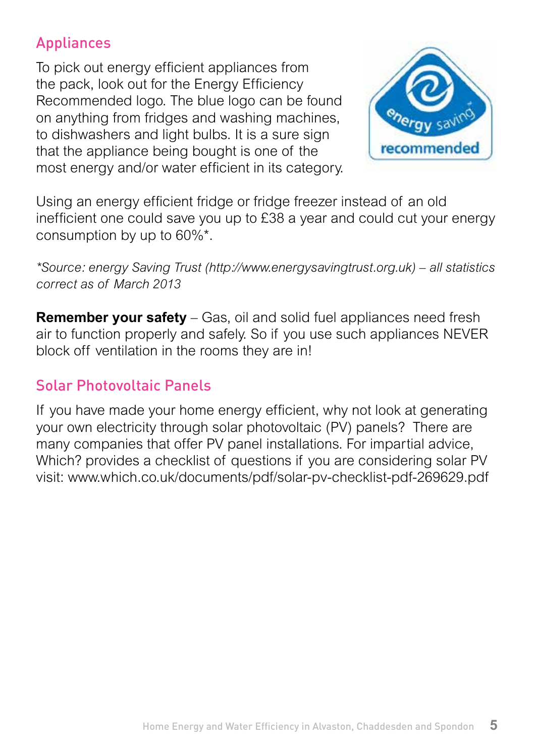#### Appliances

To pick out energy efficient appliances from the pack, look out for the Energy Efficiency Recommended logo. The blue logo can be found on anything from fridges and washing machines, to dishwashers and light bulbs. It is a sure sign that the appliance being bought is one of the most energy and/or water efficient in its category.



Using an energy efficient fridge or fridge freezer instead of an old inefficient one could save you up to £38 a year and could cut your energy consumption by up to 60%\*.

*\*Source: energy Saving Trust (http://www.energysavingtrust.org.uk) – all statistics correct as of March 2013*

**Remember your safety** – Gas, oil and solid fuel appliances need fresh air to function properly and safely. So if you use such appliances NEVER block off ventilation in the rooms they are in!

#### Solar Photovoltaic Panels

If you have made your home energy efficient, why not look at generating your own electricity through solar photovoltaic (PV) panels? There are many companies that offer PV panel installations. For impartial advice, Which? provides a checklist of questions if you are considering solar PV visit: www.which.co.uk/documents/pdf/solar-pv-checklist-pdf-269629.pdf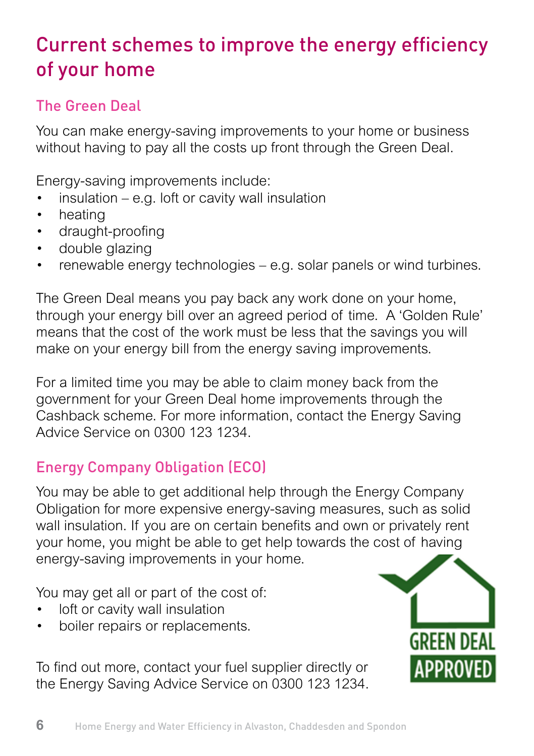## Current schemes to improve the energy efficiency of your home

#### The Green Deal

You can make energy-saving improvements to your home or business without having to pay all the costs up front through the Green Deal.

Energy-saving improvements include:

- insulation e.g. loft or cavity wall insulation
- heating
- draught-proofing
- double glazing
- renewable energy technologies e.g. solar panels or wind turbines.

The Green Deal means you pay back any work done on your home, through your energy bill over an agreed period of time. A 'Golden Rule' means that the cost of the work must be less that the savings you will make on your energy bill from the energy saving improvements.

For a limited time you may be able to claim money back from the government for your Green Deal home improvements through the Cashback scheme. For more information, contact the Energy Saving Advice Service on 0300 123 1234.

#### Energy Company Obligation (ECO)

You may be able to get additional help through the Energy Company Obligation for more expensive energy-saving measures, such as solid wall insulation. If you are on certain benefits and own or privately rent your home, you might be able to get help towards the cost of having energy-saving improvements in your home.

You may get all or part of the cost of:

- loft or cavity wall insulation
- boiler repairs or replacements.

To find out more, contact your fuel supplier directly or the Energy Saving Advice Service on 0300 123 1234.

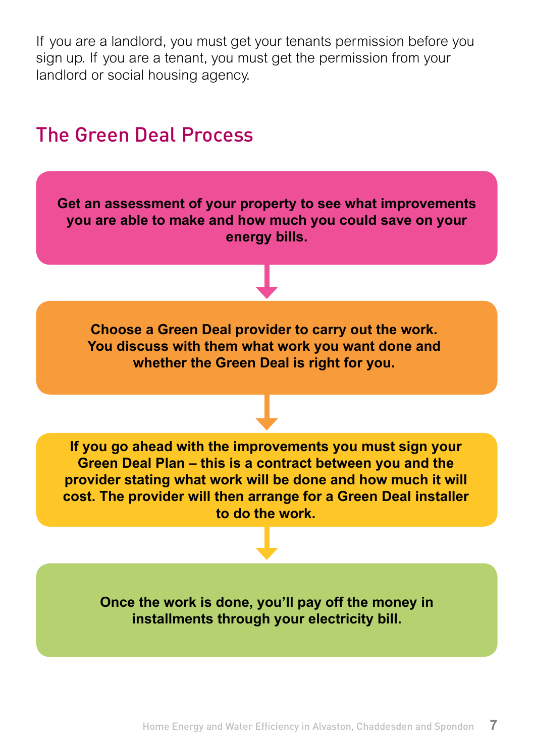If you are a landlord, you must get your tenants permission before you sign up. If you are a tenant, you must get the permission from your landlord or social housing agency.

### The Green Deal Process

**Get an assessment of your property to see what improvements you are able to make and how much you could save on your energy bills.**

**Choose a Green Deal provider to carry out the work. You discuss with them what work you want done and whether the Green Deal is right for you.**

**If you go ahead with the improvements you must sign your Green Deal Plan – this is a contract between you and the provider stating what work will be done and how much it will cost. The provider will then arrange for a Green Deal installer to do the work.**

**Once the work is done, you'll pay off the money in installments through your electricity bill.**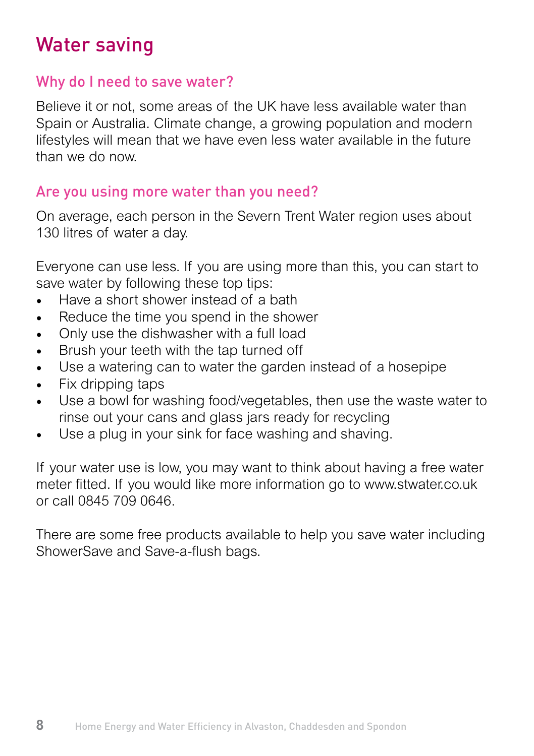### Water saving

#### Why do I need to save water?

Believe it or not, some areas of the UK have less available water than Spain or Australia. Climate change, a growing population and modern lifestyles will mean that we have even less water available in the future than we do now.

#### Are you using more water than you need?

On average, each person in the Severn Trent Water region uses about 130 litres of water a day.

Everyone can use less. If you are using more than this, you can start to save water by following these top tips:

- Have a short shower instead of a bath
- Reduce the time you spend in the shower
- Only use the dishwasher with a full load
- Brush your teeth with the tap turned off
- Use a watering can to water the garden instead of a hosepipe
- Fix dripping taps
- Use a bowl for washing food/vegetables, then use the waste water to rinse out your cans and glass jars ready for recycling
- Use a plug in your sink for face washing and shaving.

If your water use is low, you may want to think about having a free water meter fitted. If you would like more information go to www.stwater.co.uk or call 0845 709 0646.

There are some free products available to help you save water including ShowerSave and Save-a-flush bags.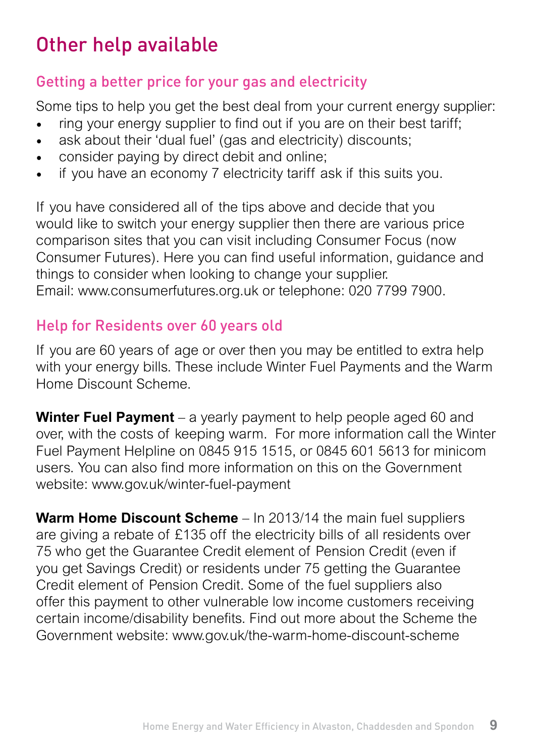# Other help available

#### Getting a better price for your gas and electricity

Some tips to help you get the best deal from your current energy supplier:

- ring your energy supplier to find out if you are on their best tariff;
- ask about their 'dual fuel' (gas and electricity) discounts;
- consider paying by direct debit and online;
- if you have an economy 7 electricity tariff ask if this suits you.

If you have considered all of the tips above and decide that you would like to switch your energy supplier then there are various price comparison sites that you can visit including Consumer Focus (now Consumer Futures). Here you can find useful information, guidance and things to consider when looking to change your supplier. Email: www.consumerfutures.org.uk or telephone: 020 7799 7900.

#### Help for Residents over 60 years old

If you are 60 years of age or over then you may be entitled to extra help with your energy bills. These include Winter Fuel Payments and the Warm Home Discount Scheme.

**Winter Fuel Payment** – a yearly payment to help people aged 60 and over, with the costs of keeping warm. For more information call the Winter Fuel Payment Helpline on 0845 915 1515, or 0845 601 5613 for minicom users. You can also find more information on this on the Government website: www.gov.uk/winter-fuel-payment

**Warm Home Discount Scheme** – In 2013/14 the main fuel suppliers are giving a rebate of £135 off the electricity bills of all residents over 75 who get the Guarantee Credit element of Pension Credit (even if you get Savings Credit) or residents under 75 getting the Guarantee Credit element of Pension Credit. Some of the fuel suppliers also offer this payment to other vulnerable low income customers receiving certain income/disability benefits. Find out more about the Scheme the Government website: www.gov.uk/the-warm-home-discount-scheme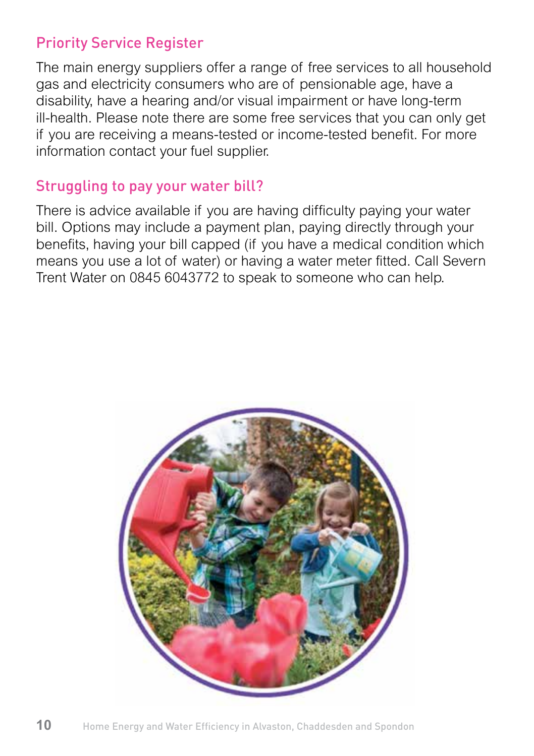#### Priority Service Register

The main energy suppliers offer a range of free services to all household gas and electricity consumers who are of pensionable age, have a disability, have a hearing and/or visual impairment or have long-term ill-health. Please note there are some free services that you can only get if you are receiving a means-tested or income-tested benefit. For more information contact your fuel supplier.

#### Struggling to pay your water bill?

There is advice available if you are having difficulty paying your water bill. Options may include a payment plan, paying directly through your benefits, having your bill capped (if you have a medical condition which means you use a lot of water) or having a water meter fitted. Call Severn Trent Water on 0845 6043772 to speak to someone who can help.

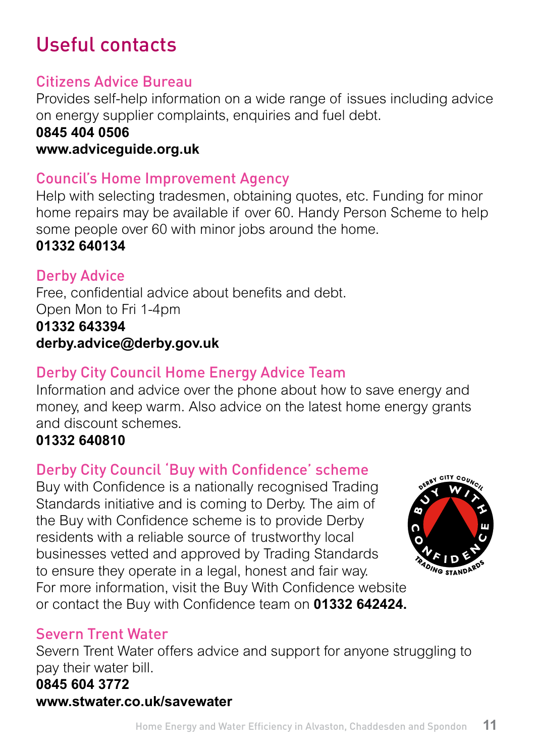# Useful contacts

#### Citizens Advice Bureau

Provides self-help information on a wide range of issues including advice on energy supplier complaints, enquiries and fuel debt.

#### **0845 404 0506**

#### **www.adviceguide.org.uk**

#### Council's Home Improvement Agency

Help with selecting tradesmen, obtaining quotes, etc. Funding for minor home repairs may be available if over 60. Handy Person Scheme to help some people over 60 with minor jobs around the home.

#### **01332 640134**

#### Derby Advice

Free, confidential advice about benefits and debt. Open Mon to Fri 1-4pm **01332 643394 derby.advice@derby.gov.uk**

#### Derby City Council Home Energy Advice Team

Information and advice over the phone about how to save energy and money, and keep warm. Also advice on the latest home energy grants and discount schemes.

#### **01332 640810**

#### Derby City Council 'Buy with Confidence' scheme

Buy with Confidence is a nationally recognised Trading Standards initiative and is coming to Derby. The aim of the Buy with Confidence scheme is to provide Derby residents with a reliable source of trustworthy local businesses vetted and approved by Trading Standards to ensure they operate in a legal, honest and fair way. For more information, visit the Buy With Confidence website or contact the Buy with Confidence team on **01332 642424.**



#### Severn Trent Water

Severn Trent Water offers advice and support for anyone struggling to pay their water bill.

#### **0845 604 3772 www.stwater.co.uk/savewater**